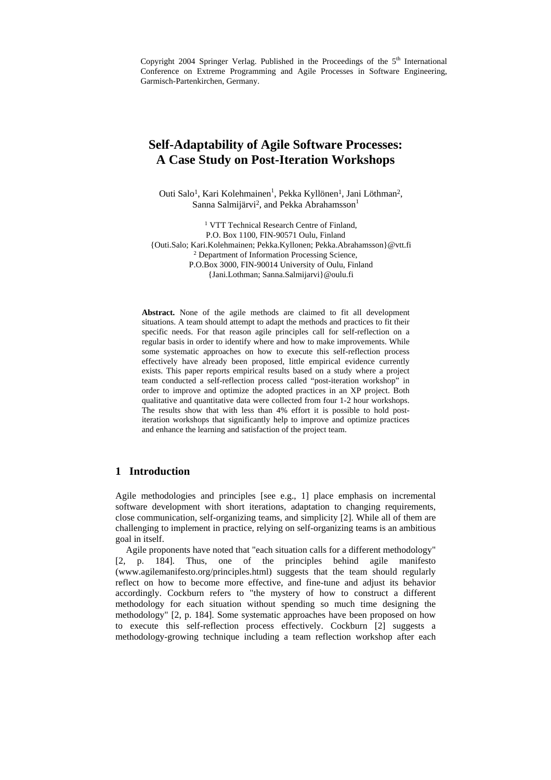Copyright 2004 Springer Verlag. Published in the Proceedings of the 5<sup>th</sup> International Conference on Extreme Programming and Agile Processes in Software Engineering, Garmisch-Partenkirchen, Germany.

# **Self-Adaptability of Agile Software Processes: A Case Study on Post-Iteration Workshops**

Outi Salo<sup>1</sup>, Kari Kolehmainen<sup>1</sup>, Pekka Kyllönen<sup>1</sup>, Jani Löthman<sup>2</sup>, Sanna Salmijärvi<sup>2</sup>, and Pekka Abrahamsson<sup>1</sup>

<sup>1</sup> VTT Technical Research Centre of Finland, P.O. Box 1100, FIN-90571 Oulu, Finland {Outi.Salo; Kari.Kolehmainen; Pekka.Kyllonen; Pekka.Abrahamsson}@vtt.fi 2 Department of Information Processing Science, P.O.Box 3000, FIN-90014 University of Oulu, Finland {Jani.Lothman; Sanna.Salmijarvi}@oulu.fi

**Abstract.** None of the agile methods are claimed to fit all development situations. A team should attempt to adapt the methods and practices to fit their specific needs. For that reason agile principles call for self-reflection on a regular basis in order to identify where and how to make improvements. While some systematic approaches on how to execute this self-reflection process effectively have already been proposed, little empirical evidence currently exists. This paper reports empirical results based on a study where a project team conducted a self-reflection process called "post-iteration workshop" in order to improve and optimize the adopted practices in an XP project. Both qualitative and quantitative data were collected from four 1-2 hour workshops. The results show that with less than 4% effort it is possible to hold postiteration workshops that significantly help to improve and optimize practices and enhance the learning and satisfaction of the project team.

# **1 Introduction**

Agile methodologies and principles [see e.g., 1] place emphasis on incremental software development with short iterations, adaptation to changing requirements, close communication, self-organizing teams, and simplicity [2]. While all of them are challenging to implement in practice, relying on self-organizing teams is an ambitious goal in itself.

Agile proponents have noted that "each situation calls for a different methodology" [2, p. 184]. Thus, one of the principles behind agile manifesto (www.agilemanifesto.org/principles.html) suggests that the team should regularly reflect on how to become more effective, and fine-tune and adjust its behavior accordingly. Cockburn refers to "the mystery of how to construct a different methodology for each situation without spending so much time designing the methodology" [2, p. 184]. Some systematic approaches have been proposed on how to execute this self-reflection process effectively. Cockburn [2] suggests a methodology-growing technique including a team reflection workshop after each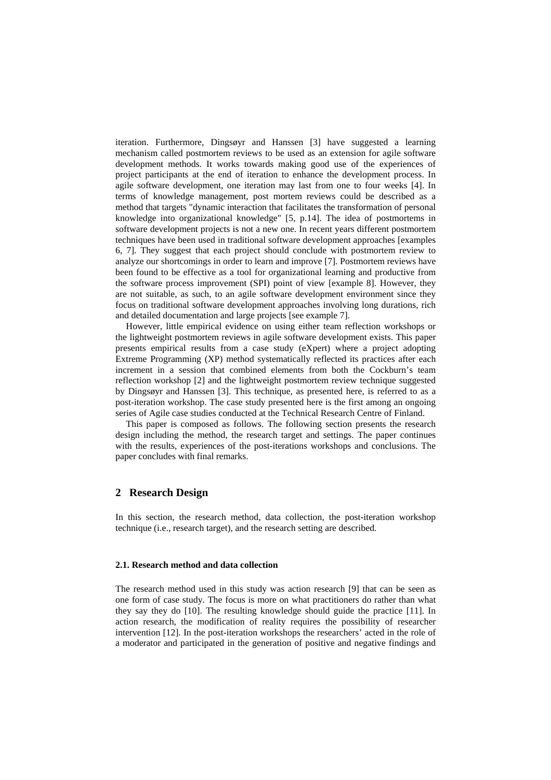iteration. Furthermore, Dingsøyr and Hanssen [3] have suggested a learning mechanism called postmortem reviews to be used as an extension for agile software development methods. It works towards making good use of the experiences of project participants at the end of iteration to enhance the development process. In agile software development, one iteration may last from one to four weeks [4]. In terms of knowledge management, post mortem reviews could be described as a method that targets "dynamic interaction that facilitates the transformation of personal knowledge into organizational knowledge" [5, p.14]. The idea of postmortems in software development projects is not a new one. In recent years different postmortem techniques have been used in traditional software development approaches [examples 6, 7]. They suggest that each project should conclude with postmortem review to analyze our shortcomings in order to learn and improve [7]. Postmortem reviews have been found to be effective as a tool for organizational learning and productive from the software process improvement (SPI) point of view [example 8]. However, they are not suitable, as such, to an agile software development environment since they focus on traditional software development approaches involving long durations, rich and detailed documentation and large projects [see example 7].

However, little empirical evidence on using either team reflection workshops or the lightweight postmortem reviews in agile software development exists. This paper presents empirical results from a case study (eXpert) where a project adopting Extreme Programming (XP) method systematically reflected its practices after each increment in a session that combined elements from both the Cockburn's team reflection workshop [2] and the lightweight postmortem review technique suggested by Dingsøyr and Hanssen [3]. This technique, as presented here, is referred to as a post-iteration workshop. The case study presented here is the first among an ongoing series of Agile case studies conducted at the Technical Research Centre of Finland.

This paper is composed as follows. The following section presents the research design including the method, the research target and settings. The paper continues with the results, experiences of the post-iterations workshops and conclusions. The paper concludes with final remarks.

### **2 Research Design**

In this section, the research method, data collection, the post-iteration workshop technique (i.e., research target), and the research setting are described.

### **2.1. Research method and data collection**

The research method used in this study was action research [9] that can be seen as one form of case study. The focus is more on what practitioners do rather than what they say they do [10]. The resulting knowledge should guide the practice [11]. In action research, the modification of reality requires the possibility of researcher intervention [12]. In the post-iteration workshops the researchers' acted in the role of a moderator and participated in the generation of positive and negative findings and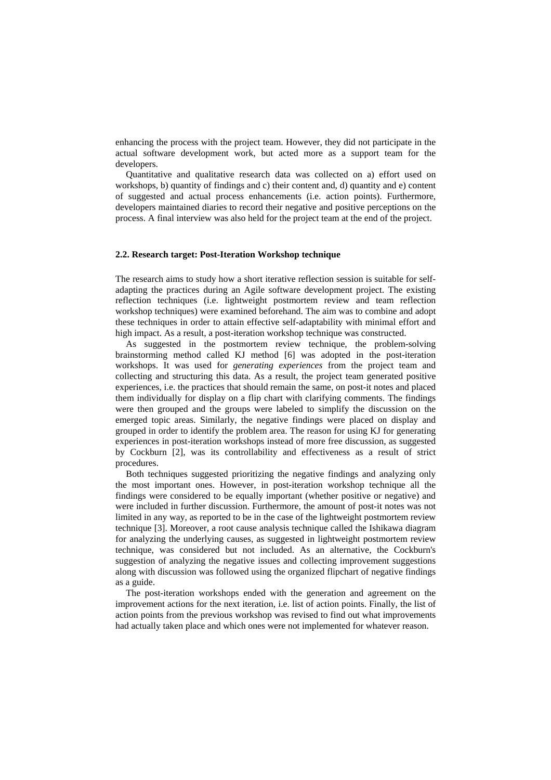enhancing the process with the project team. However, they did not participate in the actual software development work, but acted more as a support team for the developers.

Quantitative and qualitative research data was collected on a) effort used on workshops, b) quantity of findings and c) their content and, d) quantity and e) content of suggested and actual process enhancements (i.e. action points). Furthermore, developers maintained diaries to record their negative and positive perceptions on the process. A final interview was also held for the project team at the end of the project.

#### **2.2. Research target: Post-Iteration Workshop technique**

The research aims to study how a short iterative reflection session is suitable for selfadapting the practices during an Agile software development project. The existing reflection techniques (i.e. lightweight postmortem review and team reflection workshop techniques) were examined beforehand. The aim was to combine and adopt these techniques in order to attain effective self-adaptability with minimal effort and high impact. As a result, a post-iteration workshop technique was constructed.

As suggested in the postmortem review technique, the problem-solving brainstorming method called KJ method [6] was adopted in the post-iteration workshops. It was used for *generating experiences* from the project team and collecting and structuring this data. As a result, the project team generated positive experiences, i.e. the practices that should remain the same, on post-it notes and placed them individually for display on a flip chart with clarifying comments. The findings were then grouped and the groups were labeled to simplify the discussion on the emerged topic areas. Similarly, the negative findings were placed on display and grouped in order to identify the problem area. The reason for using KJ for generating experiences in post-iteration workshops instead of more free discussion, as suggested by Cockburn [2], was its controllability and effectiveness as a result of strict procedures.

Both techniques suggested prioritizing the negative findings and analyzing only the most important ones. However, in post-iteration workshop technique all the findings were considered to be equally important (whether positive or negative) and were included in further discussion. Furthermore, the amount of post-it notes was not limited in any way, as reported to be in the case of the lightweight postmortem review technique [3]. Moreover, a root cause analysis technique called the Ishikawa diagram for analyzing the underlying causes, as suggested in lightweight postmortem review technique, was considered but not included. As an alternative, the Cockburn's suggestion of analyzing the negative issues and collecting improvement suggestions along with discussion was followed using the organized flipchart of negative findings as a guide.

The post-iteration workshops ended with the generation and agreement on the improvement actions for the next iteration, i.e. list of action points. Finally, the list of action points from the previous workshop was revised to find out what improvements had actually taken place and which ones were not implemented for whatever reason.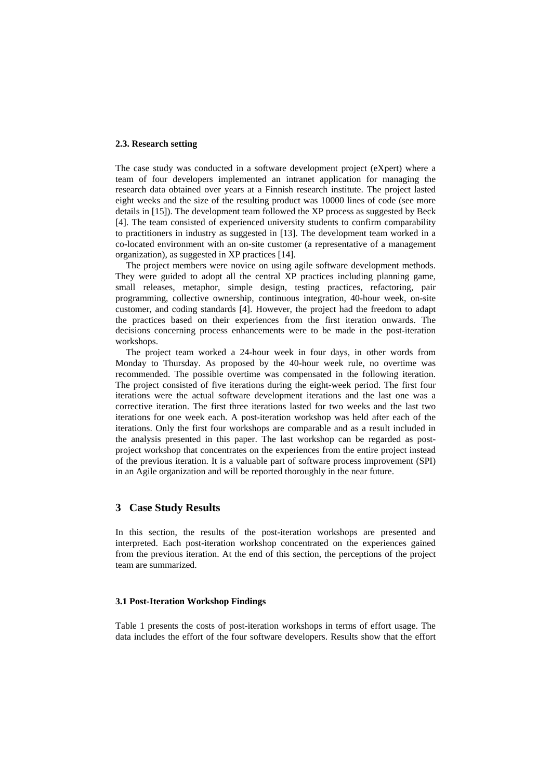#### **2.3. Research setting**

The case study was conducted in a software development project (eXpert) where a team of four developers implemented an intranet application for managing the research data obtained over years at a Finnish research institute. The project lasted eight weeks and the size of the resulting product was 10000 lines of code (see more details in [15]). The development team followed the XP process as suggested by Beck [4]. The team consisted of experienced university students to confirm comparability to practitioners in industry as suggested in [13]. The development team worked in a co-located environment with an on-site customer (a representative of a management organization), as suggested in XP practices [14].

The project members were novice on using agile software development methods. They were guided to adopt all the central XP practices including planning game, small releases, metaphor, simple design, testing practices, refactoring, pair programming, collective ownership, continuous integration, 40-hour week, on-site customer, and coding standards [4]. However, the project had the freedom to adapt the practices based on their experiences from the first iteration onwards. The decisions concerning process enhancements were to be made in the post-iteration workshops.

The project team worked a 24-hour week in four days, in other words from Monday to Thursday. As proposed by the 40-hour week rule, no overtime was recommended. The possible overtime was compensated in the following iteration. The project consisted of five iterations during the eight-week period. The first four iterations were the actual software development iterations and the last one was a corrective iteration. The first three iterations lasted for two weeks and the last two iterations for one week each. A post-iteration workshop was held after each of the iterations. Only the first four workshops are comparable and as a result included in the analysis presented in this paper. The last workshop can be regarded as postproject workshop that concentrates on the experiences from the entire project instead of the previous iteration. It is a valuable part of software process improvement (SPI) in an Agile organization and will be reported thoroughly in the near future.

## **3 Case Study Results**

In this section, the results of the post-iteration workshops are presented and interpreted. Each post-iteration workshop concentrated on the experiences gained from the previous iteration. At the end of this section, the perceptions of the project team are summarized.

#### **3.1 Post-Iteration Workshop Findings**

Table 1 presents the costs of post-iteration workshops in terms of effort usage. The data includes the effort of the four software developers. Results show that the effort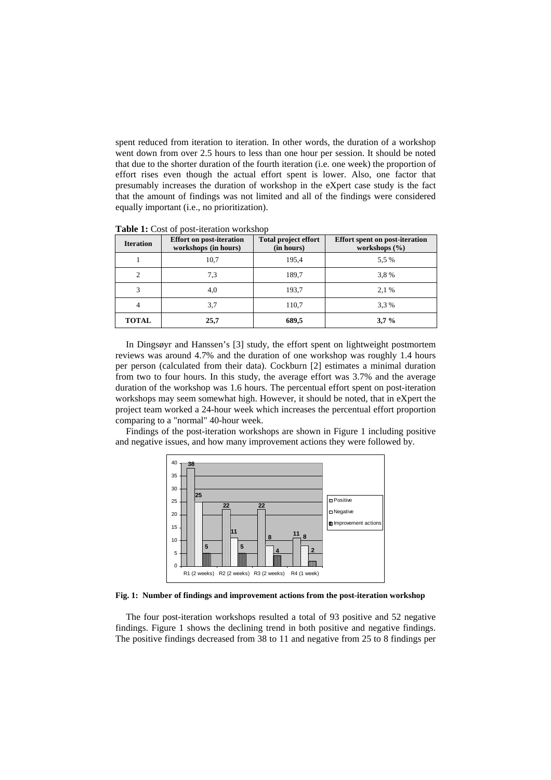spent reduced from iteration to iteration. In other words, the duration of a workshop went down from over 2.5 hours to less than one hour per session. It should be noted that due to the shorter duration of the fourth iteration (i.e. one week) the proportion of effort rises even though the actual effort spent is lower. Also, one factor that presumably increases the duration of workshop in the eXpert case study is the fact that the amount of findings was not limited and all of the findings were considered equally important (i.e., no prioritization).

| <b>Iteration</b> | <b>Effort on post-iteration</b><br>workshops (in hours) | <b>Total project effort</b><br>(in hours) | <b>Effort spent on post-iteration</b><br>workshops $(\% )$ |
|------------------|---------------------------------------------------------|-------------------------------------------|------------------------------------------------------------|
|                  | 10,7                                                    | 195,4                                     | 5.5 %                                                      |
|                  | 7,3                                                     | 189,7                                     | 3.8%                                                       |
|                  | 4,0                                                     | 193,7                                     | 2.1 %                                                      |
|                  | 3,7                                                     | 110,7                                     | 3.3%                                                       |
| <b>TOTAL</b>     | 25,7                                                    | 689,5                                     | 3.7%                                                       |

**Table 1:** Cost of post-iteration workshop

In Dingsøyr and Hanssen's [3] study, the effort spent on lightweight postmortem reviews was around 4.7% and the duration of one workshop was roughly 1.4 hours per person (calculated from their data). Cockburn [2] estimates a minimal duration from two to four hours. In this study, the average effort was 3.7% and the average duration of the workshop was 1.6 hours. The percentual effort spent on post-iteration workshops may seem somewhat high. However, it should be noted, that in eXpert the project team worked a 24-hour week which increases the percentual effort proportion comparing to a "normal" 40-hour week.

Findings of the post-iteration workshops are shown in Figure 1 including positive and negative issues, and how many improvement actions they were followed by.



**Fig. 1: Number of findings and improvement actions from the post-iteration workshop** 

The four post-iteration workshops resulted a total of 93 positive and 52 negative findings. Figure 1 shows the declining trend in both positive and negative findings. The positive findings decreased from 38 to 11 and negative from 25 to 8 findings per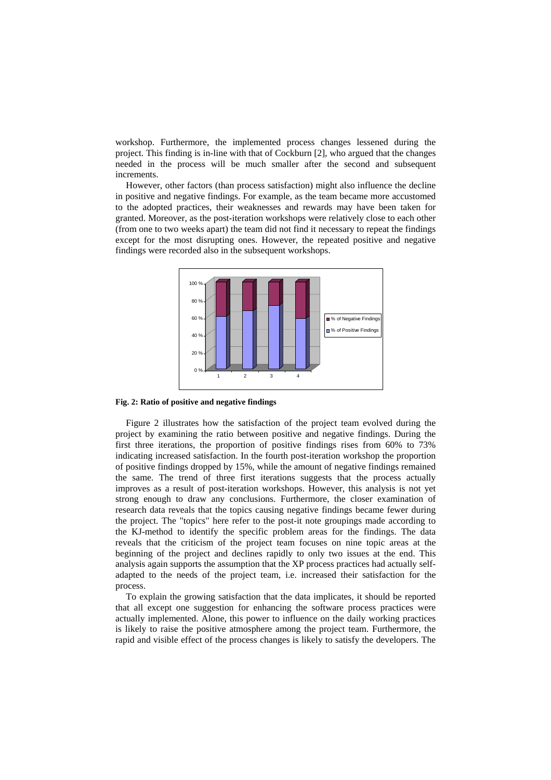workshop. Furthermore, the implemented process changes lessened during the project. This finding is in-line with that of Cockburn [2], who argued that the changes needed in the process will be much smaller after the second and subsequent increments.

However, other factors (than process satisfaction) might also influence the decline in positive and negative findings. For example, as the team became more accustomed to the adopted practices, their weaknesses and rewards may have been taken for granted. Moreover, as the post-iteration workshops were relatively close to each other (from one to two weeks apart) the team did not find it necessary to repeat the findings except for the most disrupting ones. However, the repeated positive and negative findings were recorded also in the subsequent workshops.



**Fig. 2: Ratio of positive and negative findings**

Figure 2 illustrates how the satisfaction of the project team evolved during the project by examining the ratio between positive and negative findings. During the first three iterations, the proportion of positive findings rises from 60% to 73% indicating increased satisfaction. In the fourth post-iteration workshop the proportion of positive findings dropped by 15%, while the amount of negative findings remained the same. The trend of three first iterations suggests that the process actually improves as a result of post-iteration workshops. However, this analysis is not yet strong enough to draw any conclusions. Furthermore, the closer examination of research data reveals that the topics causing negative findings became fewer during the project. The "topics" here refer to the post-it note groupings made according to the KJ-method to identify the specific problem areas for the findings. The data reveals that the criticism of the project team focuses on nine topic areas at the beginning of the project and declines rapidly to only two issues at the end. This analysis again supports the assumption that the XP process practices had actually selfadapted to the needs of the project team, i.e. increased their satisfaction for the process.

To explain the growing satisfaction that the data implicates, it should be reported that all except one suggestion for enhancing the software process practices were actually implemented. Alone, this power to influence on the daily working practices is likely to raise the positive atmosphere among the project team. Furthermore, the rapid and visible effect of the process changes is likely to satisfy the developers. The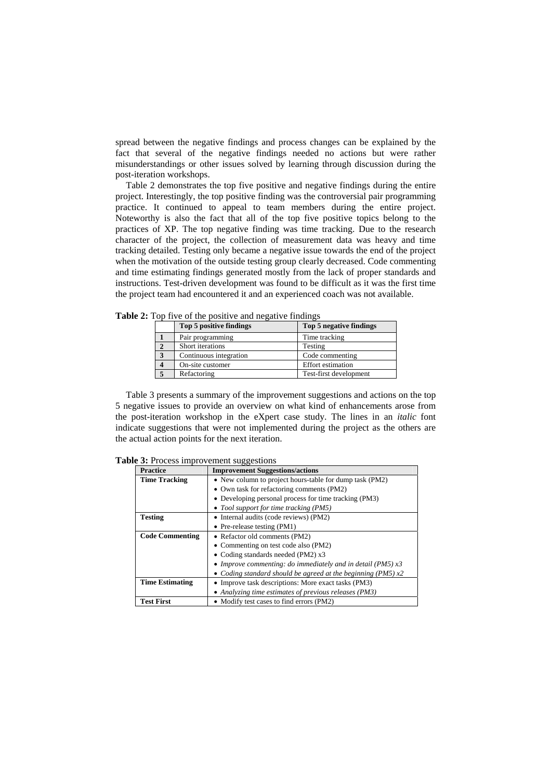spread between the negative findings and process changes can be explained by the fact that several of the negative findings needed no actions but were rather misunderstandings or other issues solved by learning through discussion during the post-iteration workshops.

Table 2 demonstrates the top five positive and negative findings during the entire project. Interestingly, the top positive finding was the controversial pair programming practice. It continued to appeal to team members during the entire project. Noteworthy is also the fact that all of the top five positive topics belong to the practices of XP. The top negative finding was time tracking. Due to the research character of the project, the collection of measurement data was heavy and time tracking detailed. Testing only became a negative issue towards the end of the project when the motivation of the outside testing group clearly decreased. Code commenting and time estimating findings generated mostly from the lack of proper standards and instructions. Test-driven development was found to be difficult as it was the first time the project team had encountered it and an experienced coach was not available.

|              | Top 5 positive findings | Top 5 negative findings  |
|--------------|-------------------------|--------------------------|
|              | Pair programming        | Time tracking            |
|              | Short iterations        | Testing                  |
| $\mathbf{r}$ | Continuous integration  | Code commenting          |
|              | On-site customer        | <b>Effort</b> estimation |
|              | Refactoring             | Test-first development   |

**Table 2:** Top five of the positive and negative findings

Table 3 presents a summary of the improvement suggestions and actions on the top 5 negative issues to provide an overview on what kind of enhancements arose from the post-iteration workshop in the eXpert case study. The lines in an *italic* font indicate suggestions that were not implemented during the project as the others are the actual action points for the next iteration.

| <b>Practice</b>                                               | <b>Improvement Suggestions/actions</b>                          |
|---------------------------------------------------------------|-----------------------------------------------------------------|
| <b>Time Tracking</b>                                          | • New column to project hours-table for dump task (PM2)         |
|                                                               | • Own task for refactoring comments (PM2)                       |
|                                                               | • Developing personal process for time tracking (PM3)           |
|                                                               | • Tool support for time tracking (PM5)                          |
| <b>Testing</b>                                                | • Internal audits (code reviews) (PM2)                          |
|                                                               | • Pre-release testing $(PM1)$                                   |
| <b>Code Commenting</b>                                        | • Refactor old comments (PM2)                                   |
|                                                               | • Commenting on test code also (PM2)                            |
|                                                               | • Coding standards needed (PM2) $x3$                            |
|                                                               | • Improve commenting: do immediately and in detail (PM5) $x3$   |
|                                                               | • Coding standard should be agreed at the beginning (PM5) $x^2$ |
| <b>Time Estimating</b>                                        | • Improve task descriptions: More exact tasks (PM3)             |
|                                                               | • Analyzing time estimates of previous releases (PM3)           |
| <b>Test First</b><br>• Modify test cases to find errors (PM2) |                                                                 |

**Table 3:** Process improvement suggestions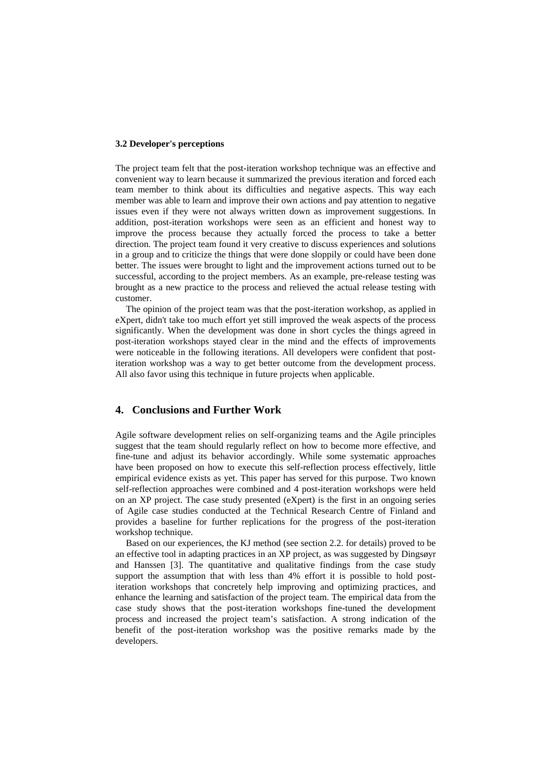#### **3.2 Developer's perceptions**

The project team felt that the post-iteration workshop technique was an effective and convenient way to learn because it summarized the previous iteration and forced each team member to think about its difficulties and negative aspects. This way each member was able to learn and improve their own actions and pay attention to negative issues even if they were not always written down as improvement suggestions. In addition, post-iteration workshops were seen as an efficient and honest way to improve the process because they actually forced the process to take a better direction. The project team found it very creative to discuss experiences and solutions in a group and to criticize the things that were done sloppily or could have been done better. The issues were brought to light and the improvement actions turned out to be successful, according to the project members. As an example, pre-release testing was brought as a new practice to the process and relieved the actual release testing with customer.

The opinion of the project team was that the post-iteration workshop, as applied in eXpert, didn't take too much effort yet still improved the weak aspects of the process significantly. When the development was done in short cycles the things agreed in post-iteration workshops stayed clear in the mind and the effects of improvements were noticeable in the following iterations. All developers were confident that postiteration workshop was a way to get better outcome from the development process. All also favor using this technique in future projects when applicable.

# **4. Conclusions and Further Work**

Agile software development relies on self-organizing teams and the Agile principles suggest that the team should regularly reflect on how to become more effective, and fine-tune and adjust its behavior accordingly. While some systematic approaches have been proposed on how to execute this self-reflection process effectively, little empirical evidence exists as yet. This paper has served for this purpose. Two known self-reflection approaches were combined and 4 post-iteration workshops were held on an XP project. The case study presented (eXpert) is the first in an ongoing series of Agile case studies conducted at the Technical Research Centre of Finland and provides a baseline for further replications for the progress of the post-iteration workshop technique.

Based on our experiences, the KJ method (see section 2.2. for details) proved to be an effective tool in adapting practices in an XP project, as was suggested by Dingsøyr and Hanssen [3]. The quantitative and qualitative findings from the case study support the assumption that with less than 4% effort it is possible to hold postiteration workshops that concretely help improving and optimizing practices, and enhance the learning and satisfaction of the project team. The empirical data from the case study shows that the post-iteration workshops fine-tuned the development process and increased the project team's satisfaction. A strong indication of the benefit of the post-iteration workshop was the positive remarks made by the developers.